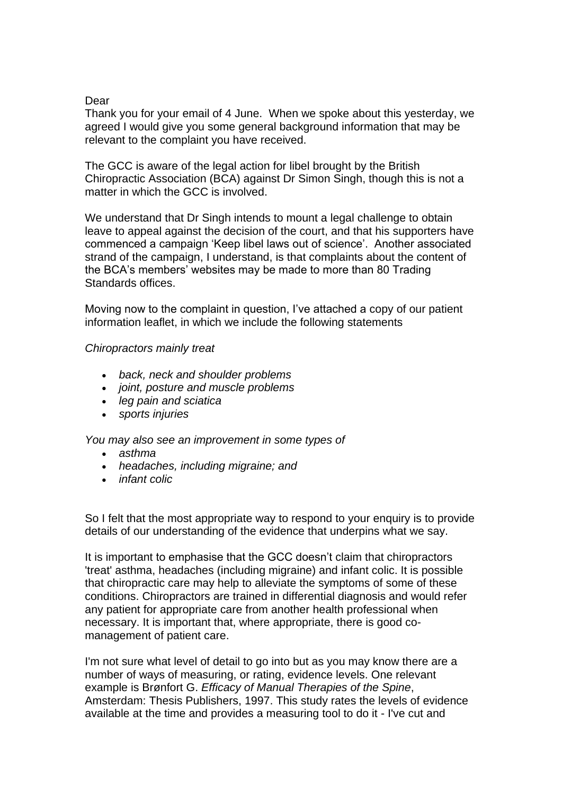## Dear

Thank you for your email of 4 June. When we spoke about this yesterday, we agreed I would give you some general background information that may be relevant to the complaint you have received.

The GCC is aware of the legal action for libel brought by the British Chiropractic Association (BCA) against Dr Simon Singh, though this is not a matter in which the GCC is involved.

We understand that Dr Singh intends to mount a legal challenge to obtain leave to appeal against the decision of the court, and that his supporters have commenced a campaign 'Keep libel laws out of science'. Another associated strand of the campaign, I understand, is that complaints about the content of the BCA's members' websites may be made to more than 80 Trading Standards offices.

Moving now to the complaint in question, I've attached a copy of our patient information leaflet, in which we include the following statements

## *Chiropractors mainly treat*

- *back, neck and shoulder problems*
- *joint, posture and muscle problems*
- *leg pain and sciatica*
- *sports injuries*

*You may also see an improvement in some types of*

- *asthma*
- *headaches, including migraine; and*
- *infant colic*

So I felt that the most appropriate way to respond to your enquiry is to provide details of our understanding of the evidence that underpins what we say.

It is important to emphasise that the GCC doesn't claim that chiropractors 'treat' asthma, headaches (including migraine) and infant colic. It is possible that chiropractic care may help to alleviate the symptoms of some of these conditions. Chiropractors are trained in differential diagnosis and would refer any patient for appropriate care from another health professional when necessary. It is important that, where appropriate, there is good comanagement of patient care.

I'm not sure what level of detail to go into but as you may know there are a number of ways of measuring, or rating, evidence levels. One relevant example is Brønfort G. *Efficacy of Manual Therapies of the Spine*, Amsterdam: Thesis Publishers, 1997. This study rates the levels of evidence available at the time and provides a measuring tool to do it - I've cut and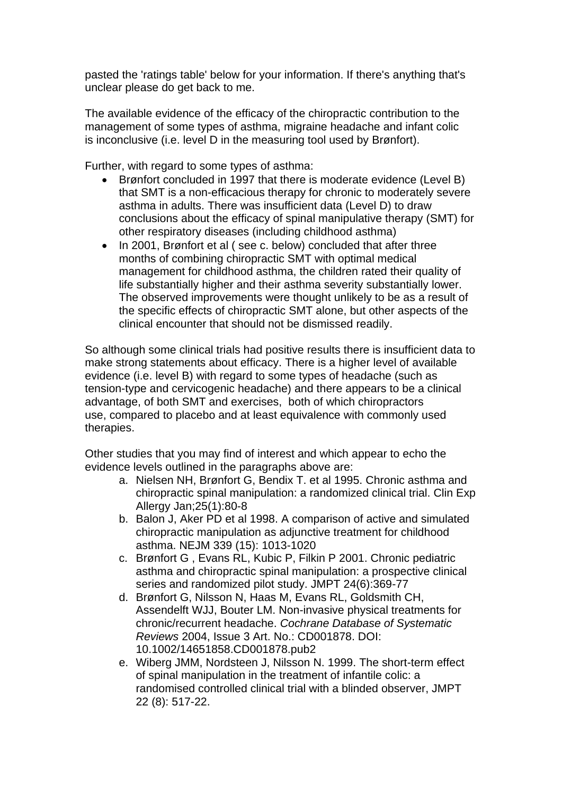pasted the 'ratings table' below for your information. If there's anything that's unclear please do get back to me.

The available evidence of the efficacy of the chiropractic contribution to the management of some types of asthma, migraine headache and infant colic is inconclusive (i.e. level D in the measuring tool used by Brønfort).

Further, with regard to some types of asthma:

- Brønfort concluded in 1997 that there is moderate evidence (Level B) that SMT is a non-efficacious therapy for chronic to moderately severe asthma in adults. There was insufficient data (Level D) to draw conclusions about the efficacy of spinal manipulative therapy (SMT) for other respiratory diseases (including childhood asthma)
- In 2001, Brønfort et al (see c. below) concluded that after three months of combining chiropractic SMT with optimal medical management for childhood asthma, the children rated their quality of life substantially higher and their asthma severity substantially lower. The observed improvements were thought unlikely to be as a result of the specific effects of chiropractic SMT alone, but other aspects of the clinical encounter that should not be dismissed readily.

So although some clinical trials had positive results there is insufficient data to make strong statements about efficacy. There is a higher level of available evidence (i.e. level B) with regard to some types of headache (such as tension-type and cervicogenic headache) and there appears to be a clinical advantage, of both SMT and exercises, both of which chiropractors use, compared to placebo and at least equivalence with commonly used therapies.

Other studies that you may find of interest and which appear to echo the evidence levels outlined in the paragraphs above are:

- a. Nielsen NH, Brønfort G, Bendix T. et al 1995. Chronic asthma and chiropractic spinal manipulation: a randomized clinical trial. Clin Exp Allergy Jan;25(1):80-8
- b. Balon J, Aker PD et al 1998. A comparison of active and simulated chiropractic manipulation as adjunctive treatment for childhood asthma. NEJM 339 (15): 1013-1020
- c. Brønfort G , Evans RL, Kubic P, Filkin P 2001. Chronic pediatric asthma and chiropractic spinal manipulation: a prospective clinical series and randomized pilot study. JMPT 24(6):369-77
- d. Brønfort G, Nilsson N, Haas M, Evans RL, Goldsmith CH, Assendelft WJJ, Bouter LM. Non-invasive physical treatments for chronic/recurrent headache. *Cochrane Database of Systematic Reviews* 2004, Issue 3 Art. No.: CD001878. DOI: 10.1002/14651858.CD001878.pub2
- e. Wiberg JMM, Nordsteen J, Nilsson N. 1999. The short-term effect of spinal manipulation in the treatment of infantile colic: a randomised controlled clinical trial with a blinded observer, JMPT 22 (8): 517-22.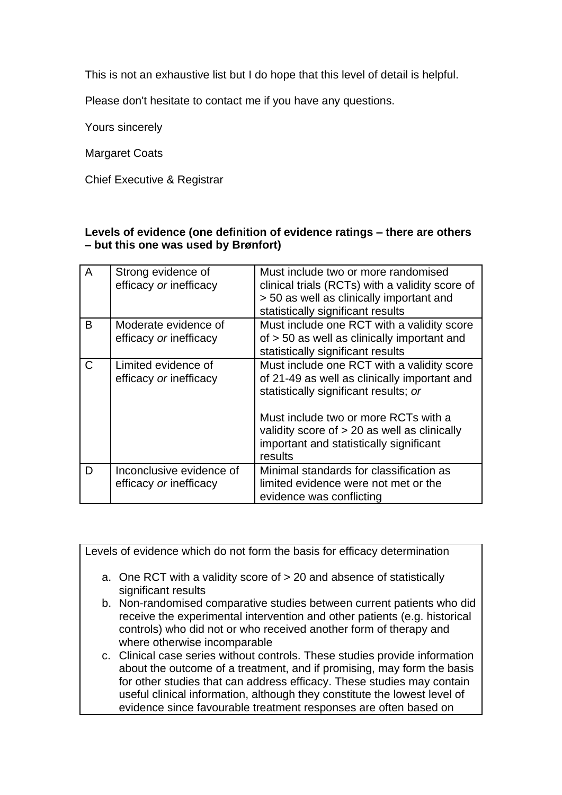This is not an exhaustive list but I do hope that this level of detail is helpful.

Please don't hesitate to contact me if you have any questions.

Yours sincerely

Margaret Coats

Chief Executive & Registrar

## **Levels of evidence (one definition of evidence ratings – there are others – but this one was used by Brønfort)**

| A | Strong evidence of<br>efficacy or inefficacy       | Must include two or more randomised<br>clinical trials (RCTs) with a validity score of<br>> 50 as well as clinically important and<br>statistically significant results                                                                                                             |
|---|----------------------------------------------------|-------------------------------------------------------------------------------------------------------------------------------------------------------------------------------------------------------------------------------------------------------------------------------------|
| B | Moderate evidence of<br>efficacy or inefficacy     | Must include one RCT with a validity score<br>of > 50 as well as clinically important and<br>statistically significant results                                                                                                                                                      |
| C | Limited evidence of<br>efficacy or inefficacy      | Must include one RCT with a validity score<br>of 21-49 as well as clinically important and<br>statistically significant results; or<br>Must include two or more RCTs with a<br>validity score of $> 20$ as well as clinically<br>important and statistically significant<br>results |
| D | Inconclusive evidence of<br>efficacy or inefficacy | Minimal standards for classification as<br>limited evidence were not met or the<br>evidence was conflicting                                                                                                                                                                         |

Levels of evidence which do not form the basis for efficacy determination

- a. One RCT with a validity score of > 20 and absence of statistically significant results
- b. Non-randomised comparative studies between current patients who did receive the experimental intervention and other patients (e.g. historical controls) who did not or who received another form of therapy and where otherwise incomparable
- c. Clinical case series without controls. These studies provide information about the outcome of a treatment, and if promising, may form the basis for other studies that can address efficacy. These studies may contain useful clinical information, although they constitute the lowest level of evidence since favourable treatment responses are often based on